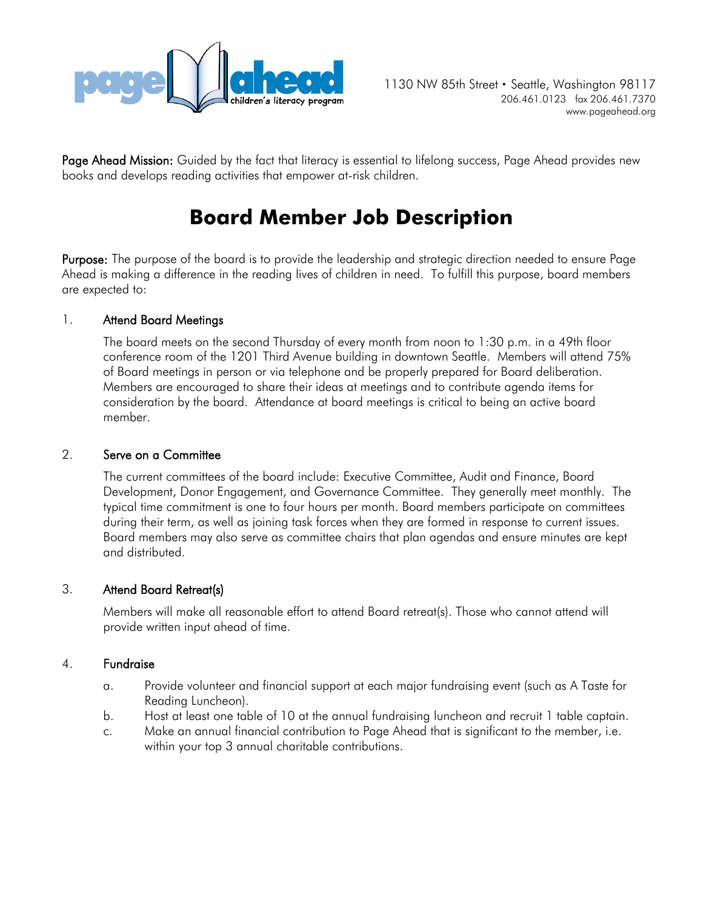

Page Ahead Mission: Guided by the fact that literacy is essential to lifelong success, Page Ahead provides new books and develops reading activities that empower at-risk children.

# **Board Member Job Description**

Purpose: The purpose of the board is to provide the leadership and strategic direction needed to ensure Page Ahead is making a difference in the reading lives of children in need. To fulfill this purpose, board members are expected to:

# 1. Attend Board Meetings

The board meets on the second Thursday of every month from noon to 1:30 p.m. in a 49th floor conference room of the 1201 Third Avenue building in downtown Seattle. Members will attend 75% of Board meetings in person or via telephone and be properly prepared for Board deliberation. Members are encouraged to share their ideas at meetings and to contribute agenda items for consideration by the board. Attendance at board meetings is critical to being an active board member.

## 2. Serve on a Committee

The current committees of the board include: Executive Committee, Audit and Finance, Board Development, Donor Engagement, and Governance Committee. They generally meet monthly. The typical time commitment is one to four hours per month. Board members participate on committees during their term, as well as joining task forces when they are formed in response to current issues. Board members may also serve as committee chairs that plan agendas and ensure minutes are kept and distributed.

### 3. Attend Board Retreat(s)

Members will make all reasonable effort to attend Board retreat(s). Those who cannot attend will provide written input ahead of time.

### 4. Fundraise

- a. Provide volunteer and financial support at each major fundraising event (such as A Taste for Reading Luncheon).
- b. Host at least one table of 10 at the annual fundraising luncheon and recruit 1 table captain.
- c. Make an annual financial contribution to Page Ahead that is significant to the member, i.e. within your top 3 annual charitable contributions.